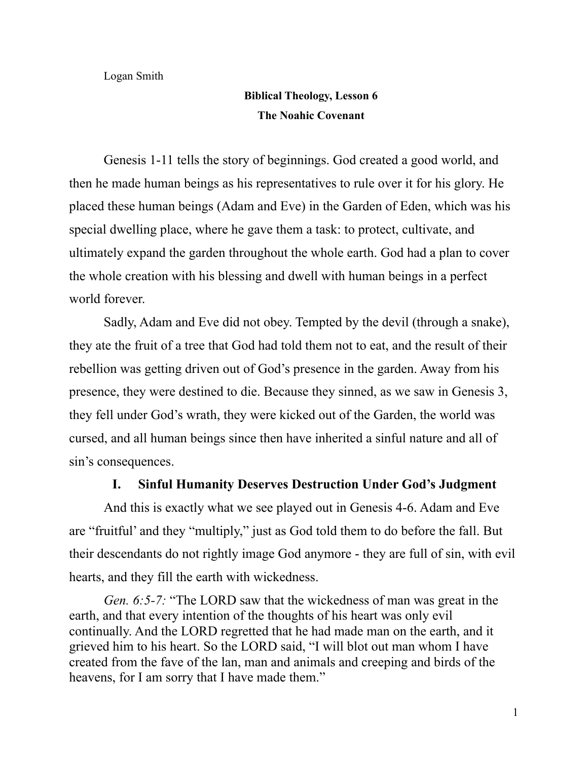Logan Smith

## **Biblical Theology, Lesson 6 The Noahic Covenant**

Genesis 1-11 tells the story of beginnings. God created a good world, and then he made human beings as his representatives to rule over it for his glory. He placed these human beings (Adam and Eve) in the Garden of Eden, which was his special dwelling place, where he gave them a task: to protect, cultivate, and ultimately expand the garden throughout the whole earth. God had a plan to cover the whole creation with his blessing and dwell with human beings in a perfect world forever.

Sadly, Adam and Eve did not obey. Tempted by the devil (through a snake), they ate the fruit of a tree that God had told them not to eat, and the result of their rebellion was getting driven out of God's presence in the garden. Away from his presence, they were destined to die. Because they sinned, as we saw in Genesis 3, they fell under God's wrath, they were kicked out of the Garden, the world was cursed, and all human beings since then have inherited a sinful nature and all of sin's consequences.

## **I. Sinful Humanity Deserves Destruction Under God's Judgment**

And this is exactly what we see played out in Genesis 4-6. Adam and Eve are "fruitful' and they "multiply," just as God told them to do before the fall. But their descendants do not rightly image God anymore - they are full of sin, with evil hearts, and they fill the earth with wickedness.

*Gen. 6:5-7:* "The LORD saw that the wickedness of man was great in the earth, and that every intention of the thoughts of his heart was only evil continually. And the LORD regretted that he had made man on the earth, and it grieved him to his heart. So the LORD said, "I will blot out man whom I have created from the fave of the lan, man and animals and creeping and birds of the heavens, for I am sorry that I have made them."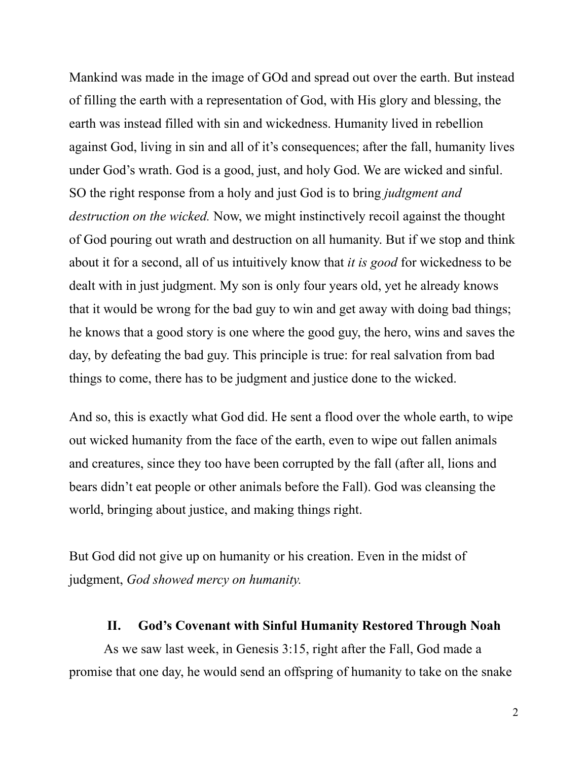Mankind was made in the image of GOd and spread out over the earth. But instead of filling the earth with a representation of God, with His glory and blessing, the earth was instead filled with sin and wickedness. Humanity lived in rebellion against God, living in sin and all of it's consequences; after the fall, humanity lives under God's wrath. God is a good, just, and holy God. We are wicked and sinful. SO the right response from a holy and just God is to bring *judtgment and destruction on the wicked.* Now, we might instinctively recoil against the thought of God pouring out wrath and destruction on all humanity. But if we stop and think about it for a second, all of us intuitively know that *it is good* for wickedness to be dealt with in just judgment. My son is only four years old, yet he already knows that it would be wrong for the bad guy to win and get away with doing bad things; he knows that a good story is one where the good guy, the hero, wins and saves the day, by defeating the bad guy. This principle is true: for real salvation from bad things to come, there has to be judgment and justice done to the wicked.

And so, this is exactly what God did. He sent a flood over the whole earth, to wipe out wicked humanity from the face of the earth, even to wipe out fallen animals and creatures, since they too have been corrupted by the fall (after all, lions and bears didn't eat people or other animals before the Fall). God was cleansing the world, bringing about justice, and making things right.

But God did not give up on humanity or his creation. Even in the midst of judgment, *God showed mercy on humanity.*

## **II. God's Covenant with Sinful Humanity Restored Through Noah**

As we saw last week, in Genesis 3:15, right after the Fall, God made a promise that one day, he would send an offspring of humanity to take on the snake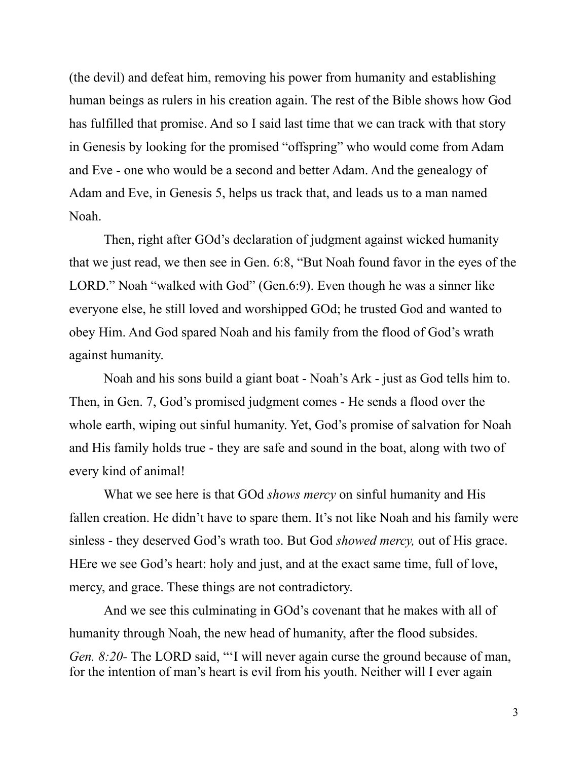(the devil) and defeat him, removing his power from humanity and establishing human beings as rulers in his creation again. The rest of the Bible shows how God has fulfilled that promise. And so I said last time that we can track with that story in Genesis by looking for the promised "offspring" who would come from Adam and Eve - one who would be a second and better Adam. And the genealogy of Adam and Eve, in Genesis 5, helps us track that, and leads us to a man named Noah.

Then, right after GOd's declaration of judgment against wicked humanity that we just read, we then see in Gen. 6:8, "But Noah found favor in the eyes of the LORD." Noah "walked with God" (Gen.6:9). Even though he was a sinner like everyone else, he still loved and worshipped GOd; he trusted God and wanted to obey Him. And God spared Noah and his family from the flood of God's wrath against humanity.

Noah and his sons build a giant boat - Noah's Ark - just as God tells him to. Then, in Gen. 7, God's promised judgment comes - He sends a flood over the whole earth, wiping out sinful humanity. Yet, God's promise of salvation for Noah and His family holds true - they are safe and sound in the boat, along with two of every kind of animal!

What we see here is that GOd *shows mercy* on sinful humanity and His fallen creation. He didn't have to spare them. It's not like Noah and his family were sinless - they deserved God's wrath too. But God *showed mercy,* out of His grace. HEre we see God's heart: holy and just, and at the exact same time, full of love, mercy, and grace. These things are not contradictory.

And we see this culminating in GOd's covenant that he makes with all of humanity through Noah, the new head of humanity, after the flood subsides. *Gen. 8:20-* The LORD said, "'I will never again curse the ground because of man, for the intention of man's heart is evil from his youth. Neither will I ever again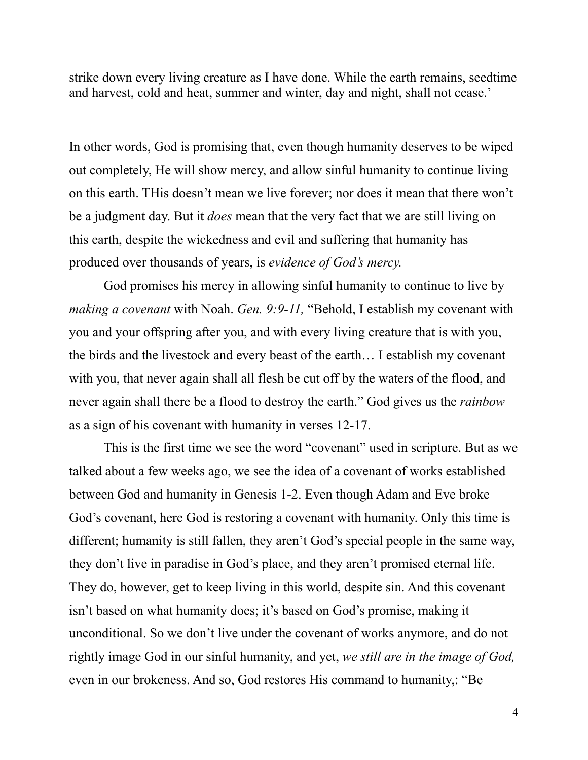strike down every living creature as I have done. While the earth remains, seedtime and harvest, cold and heat, summer and winter, day and night, shall not cease.'

In other words, God is promising that, even though humanity deserves to be wiped out completely, He will show mercy, and allow sinful humanity to continue living on this earth. THis doesn't mean we live forever; nor does it mean that there won't be a judgment day. But it *does* mean that the very fact that we are still living on this earth, despite the wickedness and evil and suffering that humanity has produced over thousands of years, is *evidence of God's mercy.*

God promises his mercy in allowing sinful humanity to continue to live by *making a covenant* with Noah. *Gen. 9:9-11,* "Behold, I establish my covenant with you and your offspring after you, and with every living creature that is with you, the birds and the livestock and every beast of the earth… I establish my covenant with you, that never again shall all flesh be cut off by the waters of the flood, and never again shall there be a flood to destroy the earth." God gives us the *rainbow* as a sign of his covenant with humanity in verses 12-17.

This is the first time we see the word "covenant" used in scripture. But as we talked about a few weeks ago, we see the idea of a covenant of works established between God and humanity in Genesis 1-2. Even though Adam and Eve broke God's covenant, here God is restoring a covenant with humanity. Only this time is different; humanity is still fallen, they aren't God's special people in the same way, they don't live in paradise in God's place, and they aren't promised eternal life. They do, however, get to keep living in this world, despite sin. And this covenant isn't based on what humanity does; it's based on God's promise, making it unconditional. So we don't live under the covenant of works anymore, and do not rightly image God in our sinful humanity, and yet, *we still are in the image of God,* even in our brokeness. And so, God restores His command to humanity,: "Be